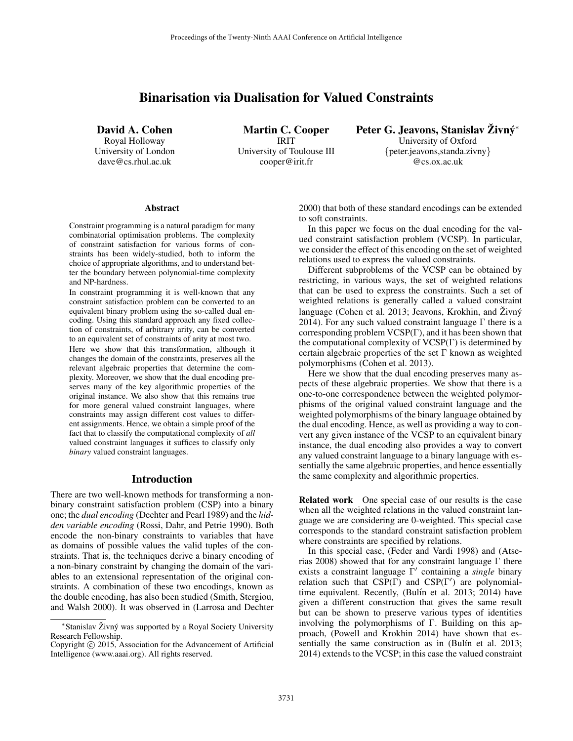# Binarisation via Dualisation for Valued Constraints

David A. Cohen Royal Holloway University of London dave@cs.rhul.ac.uk

Martin C. Cooper IRIT University of Toulouse III cooper@irit.fr

Peter G. Jeavons, Stanislav Živný\* University of Oxford {peter.jeavons,standa.zivny} @cs.ox.ac.uk

#### **Abstract**

Constraint programming is a natural paradigm for many combinatorial optimisation problems. The complexity of constraint satisfaction for various forms of constraints has been widely-studied, both to inform the choice of appropriate algorithms, and to understand better the boundary between polynomial-time complexity and NP-hardness.

In constraint programming it is well-known that any constraint satisfaction problem can be converted to an equivalent binary problem using the so-called dual encoding. Using this standard approach any fixed collection of constraints, of arbitrary arity, can be converted to an equivalent set of constraints of arity at most two.

Here we show that this transformation, although it changes the domain of the constraints, preserves all the relevant algebraic properties that determine the complexity. Moreover, we show that the dual encoding preserves many of the key algorithmic properties of the original instance. We also show that this remains true for more general valued constraint languages, where constraints may assign different cost values to different assignments. Hence, we obtain a simple proof of the fact that to classify the computational complexity of *all* valued constraint languages it suffices to classify only *binary* valued constraint languages.

### Introduction

There are two well-known methods for transforming a nonbinary constraint satisfaction problem (CSP) into a binary one; the *dual encoding* (Dechter and Pearl 1989) and the *hidden variable encoding* (Rossi, Dahr, and Petrie 1990). Both encode the non-binary constraints to variables that have as domains of possible values the valid tuples of the constraints. That is, the techniques derive a binary encoding of a non-binary constraint by changing the domain of the variables to an extensional representation of the original constraints. A combination of these two encodings, known as the double encoding, has also been studied (Smith, Stergiou, and Walsh 2000). It was observed in (Larrosa and Dechter

2000) that both of these standard encodings can be extended to soft constraints.

In this paper we focus on the dual encoding for the valued constraint satisfaction problem (VCSP). In particular, we consider the effect of this encoding on the set of weighted relations used to express the valued constraints.

Different subproblems of the VCSP can be obtained by restricting, in various ways, the set of weighted relations that can be used to express the constraints. Such a set of weighted relations is generally called a valued constraint language (Cohen et al. 2013; Jeavons, Krokhin, and  $\angle Z$ ivn $\acute{y}$ 2014). For any such valued constraint language  $\Gamma$  there is a corresponding problem VCSP(Γ), and it has been shown that the computational complexity of VCSP(Γ) is determined by certain algebraic properties of the set  $\Gamma$  known as weighted polymorphisms (Cohen et al. 2013).

Here we show that the dual encoding preserves many aspects of these algebraic properties. We show that there is a one-to-one correspondence between the weighted polymorphisms of the original valued constraint language and the weighted polymorphisms of the binary language obtained by the dual encoding. Hence, as well as providing a way to convert any given instance of the VCSP to an equivalent binary instance, the dual encoding also provides a way to convert any valued constraint language to a binary language with essentially the same algebraic properties, and hence essentially the same complexity and algorithmic properties.

Related work One special case of our results is the case when all the weighted relations in the valued constraint language we are considering are 0-weighted. This special case corresponds to the standard constraint satisfaction problem where constraints are specified by relations.

In this special case, (Feder and Vardi 1998) and (Atserias 2008) showed that for any constraint language  $\Gamma$  there exists a constraint language Γ' containing a *single* binary relation such that  $CSP(\Gamma)$  and  $CSP(\Gamma')$  are polynomialtime equivalent. Recently, (Bulín et al. 2013; 2014) have given a different construction that gives the same result but can be shown to preserve various types of identities involving the polymorphisms of Γ. Building on this approach, (Powell and Krokhin 2014) have shown that essentially the same construction as in (Bulín et al. 2013; 2014) extends to the VCSP; in this case the valued constraint

<sup>\*</sup> Stanislav Živný was supported by a Royal Society University Research Fellowship.

Copyright © 2015, Association for the Advancement of Artificial Intelligence (www.aaai.org). All rights reserved.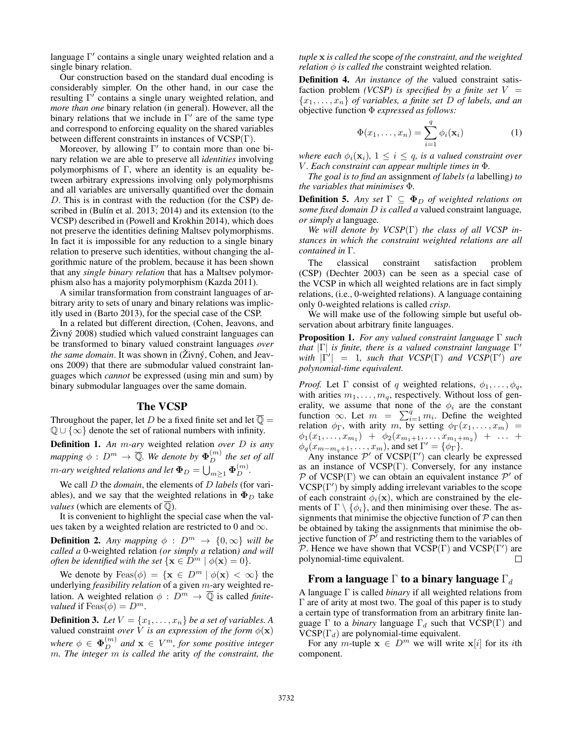language  $\Gamma'$  contains a single unary weighted relation and a single binary relation.

Our construction based on the standard dual encoding is considerably simpler. On the other hand, in our case the resulting  $\Gamma'$  contains a single unary weighted relation, and *more than one* binary relation (in general). However, all the binary relations that we include in  $\Gamma'$  are of the same type and correspond to enforcing equality on the shared variables between different constraints in instances of VCSP(Γ).

Moreover, by allowing  $\Gamma'$  to contain more than one binary relation we are able to preserve all *identities* involving polymorphisms of  $\Gamma$ , where an identity is an equality between arbitrary expressions involving only polymorphisms and all variables are universally quantified over the domain D. This is in contrast with the reduction (for the CSP) described in (Bulín et al. 2013; 2014) and its extension (to the VCSP) described in (Powell and Krokhin 2014), which does not preserve the identities defining Maltsev polymorphisms. In fact it is impossible for any reduction to a single binary relation to preserve such identities, without changing the algorithmic nature of the problem, because it has been shown that any *single binary relation* that has a Maltsev polymorphism also has a majority polymorphism (Kazda 2011).

A similar transformation from constraint languages of arbitrary arity to sets of unary and binary relations was implicitly used in (Barto 2013), for the special case of the CSP.

In a related but different direction, (Cohen, Jeavons, and  $\angle Zivn\acute{v}$  2008) studied which valued constraint languages can be transformed to binary valued constraint languages *over the same domain*. It was shown in (Živný, Cohen, and Jeavons 2009) that there are submodular valued constraint languages which *cannot* be expressed (using min and sum) by binary submodular languages over the same domain.

### The VCSP

Throughout the paper, let D be a fixed finite set and let  $\overline{\mathbb{Q}} =$  $\mathbb{Q} \cup \{\infty\}$  denote the set of rational numbers with infinity.

Definition 1. *An* m*-ary* weighted relation *over* D *is any mapping*  $\phi$  :  $D^m \to \overline{\mathbb{Q}}$ . We denote by  $\Phi_D^{(m)}$  the set of all m-ary weighted relations and let  $\pmb{\Phi}_D = \bigcup_{m\geq 1} \pmb{\Phi}_D^{(m)}.$ 

We call D the *domain*, the elements of D *labels* (for variables), and we say that the weighted relations in  $\Phi_D$  take *values* (which are elements of  $\overline{Q}$ ).

It is convenient to highlight the special case when the values taken by a weighted relation are restricted to 0 and  $\infty$ .

**Definition 2.** Any mapping  $\phi$  :  $D^m \rightarrow \{0, \infty\}$  will be *called a* 0-weighted relation *(or simply a* relation*) and will often be identified with the set*  $\{x \in D^m \mid \phi(x) = 0\}$ *.* 

We denote by  $F\text{eas}(\phi) = \{ \mathbf{x} \in D^m \mid \phi(\mathbf{x}) < \infty \}$  the underlying *feasibility relation* of a given m-ary weighted relation. A weighted relation  $\phi : D^m \to \overline{Q}$  is called *finitevalued* if  $F\text{eas}(\phi) = D^m$ .

**Definition 3.** Let  $V = \{x_1, \ldots, x_n\}$  be a set of variables. A valued constraint *over*  $\hat{V}$  *is an expression of the form*  $\phi(\mathbf{x})$ where  $\phi \in \mathbf{\Phi}_{D}^{(m)}$  and  $\mathbf{x} \in V^m$ , for some positive integer m*. The integer* m *is called the* arity *of the constraint, the* *tuple* x *is called the* scope *of the constraint, and the weighted relation*  $\phi$  *is called the* constraint weighted relation.

Definition 4. *An instance of the* valued constraint satisfaction problem *(VCSP)* is specified by a finite set  $V =$ {x1, . . . , xn} *of variables, a finite set* D *of labels, and an* objective function Φ *expressed as follows:*

$$
\Phi(x_1,\ldots,x_n) = \sum_{i=1}^q \phi_i(\mathbf{x}_i)
$$
\n(1)

*where each*  $\phi_i(\mathbf{x}_i)$ ,  $1 \leq i \leq q$ , *is a valued constraint over* V *. Each constraint can appear multiple times in* Φ*.*

*The goal is to find an* assignment *of labels (a* labelling*) to the variables that minimises* Φ*.*

**Definition 5.** *Any set*  $\Gamma \subseteq \Phi_D$  *of weighted relations on some fixed domain* D *is called a* valued constraint language*, or simply a* language*.*

*We will denote by VCSP*(Γ) *the class of all VCSP instances in which the constraint weighted relations are all contained in* Γ*.*

The classical constraint satisfaction problem (CSP) (Dechter 2003) can be seen as a special case of the VCSP in which all weighted relations are in fact simply relations, (i.e., 0-weighted relations). A language containing only 0-weighted relations is called *crisp*.

We will make use of the following simple but useful observation about arbitrary finite languages.

Proposition 1. *For any valued constraint language* Γ *such that* |Γ| *is finite, there is a valued constraint language* Γ 0 *with*  $|\Gamma'| = 1$ *, such that VCSP*(Γ) *and VCSP*(Γ') *are polynomial-time equivalent.*

*Proof.* Let  $\Gamma$  consist of q weighted relations,  $\phi_1, \ldots, \phi_q$ , with arities  $m_1, \ldots, m_q$ , respectively. Without loss of generality, we assume that none of the  $\phi_i$  are the constant function  $\infty$ . Let  $m = \sum_{i=1}^{q} m_i$ . Define the weighted relation  $\phi_{\Gamma}$ , with arity m, by setting  $\phi_{\Gamma}(x_1,\ldots,x_m)$  =  $\phi_1(x_1,\ldots,x_{m_1}) + \phi_2(x_{m_1+1},\ldots,x_{m_1+m_2}) + \ldots$  $\phi_q(x_{m-m_q+1}, \ldots, x_m)$ , and set  $\Gamma' = {\phi_\Gamma}.$ 

Any instance  $\mathcal{P}'$  of VCSP( $\Gamma'$ ) can clearly be expressed as an instance of  $VCSP(\Gamma)$ . Conversely, for any instance P of VCSP( $\Gamma$ ) we can obtain an equivalent instance  $\mathcal{P}'$  of  $VCSP(\Gamma')$  by simply adding irrelevant variables to the scope of each constraint  $\phi_i(\mathbf{x})$ , which are constrained by the elements of  $\Gamma \setminus \{\phi_i\}$ , and then minimising over these. The assignments that minimise the objective function of  $P$  can then be obtained by taking the assignments that minimise the objective function of  $\mathcal{P}'$  and restricting them to the variables of P. Hence we have shown that  $VCSP(\Gamma)$  and  $VCSP(\Gamma')$  are polynomial-time equivalent.  $\Box$ 

### From a language  $\Gamma$  to a binary language  $\Gamma_d$

A language Γ is called *binary* if all weighted relations from Γ are of arity at most two. The goal of this paper is to study a certain type of transformation from an arbitrary finite language  $\Gamma$  to a *binary* language  $\Gamma_d$  such that VCSP( $\Gamma$ ) and  $VCSP(\Gamma_d)$  are polynomial-time equivalent.

For any m-tuple  $\mathbf{x} \in D^m$  we will write  $\mathbf{x}[i]$  for its *i*th component.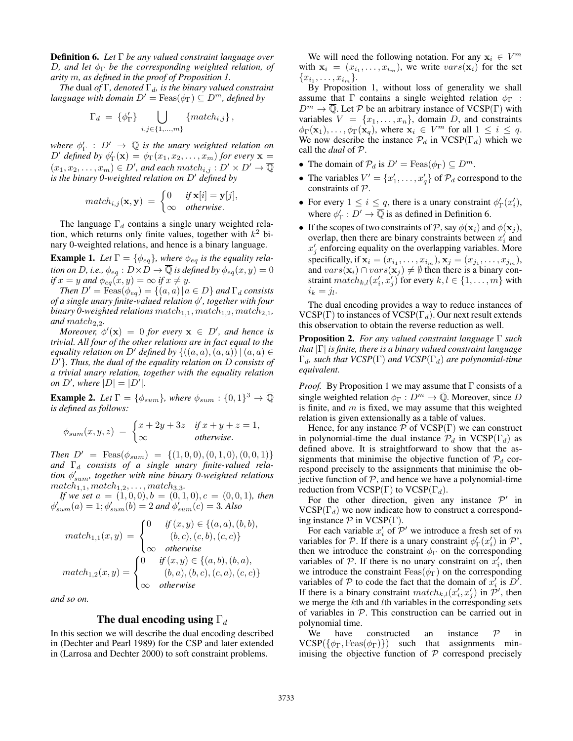Definition 6. *Let* Γ *be any valued constraint language over* D*, and let* φ<sup>Γ</sup> *be the corresponding weighted relation, of arity* m*, as defined in the proof of Proposition 1.*

*The* dual *of*  $\Gamma$ *, denoted*  $\Gamma$ <sub>*d</sub>, is the binary valued constraint*</sub> *language with domain*  $D' = \text{Feas}(\phi_{\Gamma}) \subseteq D^m$ , *defined by* 

$$
\Gamma_d = \{ \phi_{\Gamma}' \} \bigcup_{i,j \in \{1,\dots,m\}} \{match_{i,j} \},
$$

where  $\phi'_{\Gamma}$  :  $D' \to \overline{\mathbb{Q}}$  is the unary weighted relation on  $D'$  defined by  $\phi_{\Gamma}'(\mathbf{x}) = \phi_{\Gamma}(x_1, x_2, \dots, x_m)$  for every  $\mathbf{x} =$  $(x_1, x_2, \ldots, x_m) \in D'$ , and each match<sub>i,j</sub> :  $D' \times D' \rightarrow \overline{\mathbb{Q}}$ *is the binary 0-weighted relation on*  $D'$  *defined by* 

$$
match_{i,j}(\mathbf{x}, \mathbf{y}) = \begin{cases} 0 & \text{if } \mathbf{x}[i] = \mathbf{y}[j], \\ \infty & \text{otherwise.} \end{cases}
$$

The language  $\Gamma_d$  contains a single unary weighted relation, which returns only finite values, together with  $k^2$  binary 0-weighted relations, and hence is a binary language.

**Example 1.** Let  $\Gamma = \{\phi_{eq}\}\$ , where  $\phi_{eq}$  is the equality rela*tion on D, i.e.,*  $\phi_{eq} : D \times D \to \overline{\mathbb{Q}}$  *is defined by*  $\phi_{eq}(x, y) = 0$ *if*  $x = y$  *and*  $\phi_{eq}(x, y) = \infty$  *if*  $x \neq y$ *.* 

*Then*  $D' = \text{Feas}(\phi_{eq}) = \{(a, a) | a \in D\}$  *and*  $\Gamma_d$  *consists of a single unary finite-valued relation* φ 0 *, together with four binary 0-weighted relations*  $match_{1,1}$ ,  $match_{1,2}$ ,  $match_{2,1}$ , and  $match_{2,2}$ *.* 

*Moreover,*  $\phi'(\mathbf{x}) = 0$  *for every*  $\mathbf{x} \in D'$ *, and hence is trivial. All four of the other relations are in fact equal to the equality relation on* D' *defined by*  $\{((a, a), (a, a)) | (a, a) \in$ D'. Thus, the dual of the equality relation on D consists of *a trivial unary relation, together with the equality relation on*  $D'$ , where  $|D| = |D'|$ .

**Example 2.** Let  $\Gamma = \{\phi_{sum}\}$ , where  $\phi_{sum} : \{0, 1\}^3 \to \overline{\mathbb{Q}}$ *is defined as follows:*

$$
\phi_{sum}(x, y, z) = \begin{cases} x + 2y + 3z & \text{if } x + y + z = 1, \\ \infty & \text{otherwise.} \end{cases}
$$

*Then*  $D' = \text{Feas}(\phi_{sum}) = \{(1, 0, 0), (0, 1, 0), (0, 0, 1)\}$ and  $\Gamma_d$  consists of a single unary finite-valued rela*tion* φ 0 sum*, together with nine binary 0-weighted relations*  $match_{1,1}, match_{1,2}, \ldots, match_{3,3}$ .

*If we set*  $a = (1, 0, 0), b = (0, 1, 0), c = (0, 0, 1)$ *, then*  $\phi'_{sum}(a) = 1; \phi'_{sum}(b) = 2$  and  $\phi'_{sum}(c) = 3$ . Also

$$
match_{1,1}(x,y) = \begin{cases} 0 & \text{if } (x,y) \in \{(a,a),(b,b), \\ (b,c),(c,b),(c,c)\} \\ \infty & \text{otherwise} \end{cases}
$$

$$
match_{1,2}(x,y) = \begin{cases} 0 & \text{if } (x,y) \in \{(a,b),(b,a), \\ (b,a),(b,c),(c,a),(c,c)\} \\ \infty & \text{otherwise} \end{cases}
$$

*and so on.*

## The dual encoding using  $\Gamma_d$

In this section we will describe the dual encoding described in (Dechter and Pearl 1989) for the CSP and later extended in (Larrosa and Dechter 2000) to soft constraint problems.

We will need the following notation. For any  $x_i \in V^m$ with  $x_i = (x_{i_1}, \ldots, x_{i_m})$ , we write  $vars(\mathbf{x}_i)$  for the set  ${x_{i_1}, \ldots, x_{i_m}}.$ 

By Proposition 1, without loss of generality we shall assume that  $\Gamma$  contains a single weighted relation  $\phi_{\Gamma}$ :  $D^m \to \overline{\mathbb{Q}}$ . Let P be an arbitrary instance of VCSP(Γ) with variables  $V = \{x_1, \ldots, x_n\}$ , domain D, and constraints  $\phi_{\Gamma}(\mathbf{x}_1), \ldots, \phi_{\Gamma}(\mathbf{x}_q)$ , where  $\mathbf{x}_i \in V^m$  for all  $1 \leq i \leq q$ . We now describe the instance  $\mathcal{P}_d$  in  $VCSP(\Gamma_d)$  which we call the *dual* of P.

- The domain of  $\mathcal{P}_d$  is  $D' = \text{Feas}(\phi_{\Gamma}) \subseteq D^m$ .
- The variables  $V' = \{x'_1, \ldots, x'_q\}$  of  $\mathcal{P}_d$  correspond to the constraints of P.
- For every  $1 \leq i \leq q$ , there is a unary constraint  $\phi_{\Gamma}'(x_i')$ , where  $\phi'_{\Gamma}: D' \to \overline{\mathbb{Q}}$  is as defined in Definition 6.
- If the scopes of two constraints of P, say  $\phi(\mathbf{x}_i)$  and  $\phi(\mathbf{x}_j)$ , overlap, then there are binary constraints between  $x_i'$  and  $x'_j$  enforcing equality on the overlapping variables. More specifically, if  $\mathbf{x}_i = (x_{i_1}, \dots, x_{i_m}), \mathbf{x}_j = (x_{j_1}, \dots, x_{j_m}),$ and  $vars(\mathbf{x}_i) \cap vars(\mathbf{x}_j) \neq \emptyset$  then there is a binary constraint  $match_{k,l}(x'_i, x'_j)$  for every  $k, l \in \{1, ..., m\}$  with  $i_k = j_l.$

The dual encoding provides a way to reduce instances of VCSP(Γ) to instances of VCSP( $\Gamma_d$ ). Our next result extends this observation to obtain the reverse reduction as well.

Proposition 2. *For any valued constraint language* Γ *such that* |Γ| *is finite, there is a binary valued constraint language* Γd*, such that VCSP*(Γ) *and VCSP*(Γd) *are polynomial-time equivalent.*

*Proof.* By Proposition 1 we may assume that  $\Gamma$  consists of a single weighted relation  $\phi_{\Gamma}: D^m \to \mathbb{Q}$ . Moreover, since D is finite, and  $m$  is fixed, we may assume that this weighted relation is given extensionally as a table of values.

Hence, for any instance  $P$  of  $VCSP(\Gamma)$  we can construct in polynomial-time the dual instance  $\mathcal{P}_d$  in VCSP( $\Gamma_d$ ) as defined above. It is straightforward to show that the assignments that minimise the objective function of  $P_d$  correspond precisely to the assignments that minimise the objective function of  $P$ , and hence we have a polynomial-time reduction from VCSP( $\Gamma$ ) to VCSP( $\Gamma_d$ ).

For the other direction, given any instance  $\mathcal{P}'$  in  $VCSP(\Gamma_d)$  we now indicate how to construct a corresponding instance  $P$  in  $VCSP(\Gamma)$ .

For each variable  $x_i'$  of  $\mathcal{P}'$  we introduce a fresh set of m variables for P. If there is a unary constraint  $\phi'_{\Gamma}(x'_i)$  in P', then we introduce the constraint  $\phi_{\Gamma}$  on the corresponding variables of  $P$ . If there is no unary constraint on  $x'_i$ , then we introduce the constraint  $F\text{eas}(\phi_{\Gamma})$  on the corresponding variables of P to code the fact that the domain of  $x'_i$  is  $D^{\dagger}$ . If there is a binary constraint  $match_{k,l}(x'_i, x'_j)$  in  $\mathcal{P}'$ , then we merge the kth and lth variables in the corresponding sets of variables in  $P$ . This construction can be carried out in polynomial time.

We have constructed an instance  $\mathcal{P}$  in  $VCSP({\phi_{\Gamma}, \text{Feas}(\phi_{\Gamma})})$  such that assignments minimising the objective function of  $P$  correspond precisely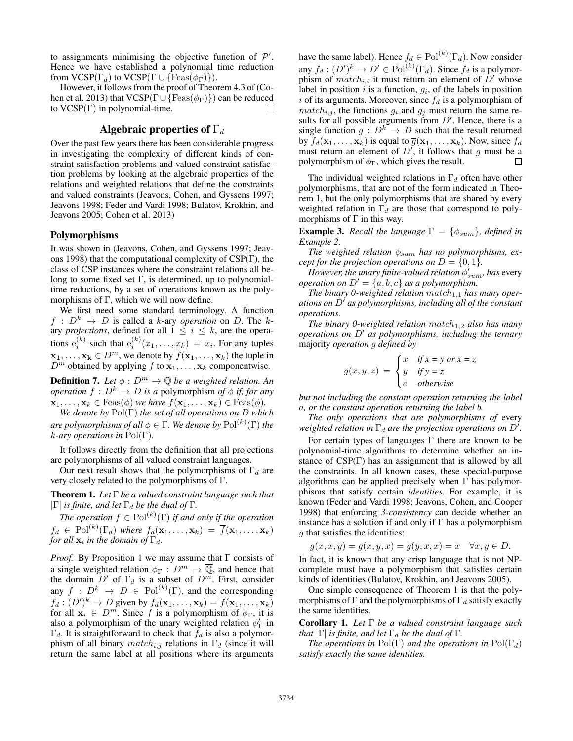to assignments minimising the objective function of  $\mathcal{P}'$ . Hence we have established a polynomial time reduction from  $VCSP(\Gamma_d)$  to  $VCSP(\Gamma \cup \{Feas(\phi_{\Gamma})\}).$ 

However, it follows from the proof of Theorem 4.3 of (Cohen et al. 2013) that  $VCSP(\Gamma \cup {\text{Feas}(\phi_{\Gamma})})$  can be reduced to  $VCSP(\Gamma)$  in polynomial-time.

# Algebraic properties of  $\Gamma_d$

Over the past few years there has been considerable progress in investigating the complexity of different kinds of constraint satisfaction problems and valued constraint satisfaction problems by looking at the algebraic properties of the relations and weighted relations that define the constraints and valued constraints (Jeavons, Cohen, and Gyssens 1997; Jeavons 1998; Feder and Vardi 1998; Bulatov, Krokhin, and Jeavons 2005; Cohen et al. 2013)

#### Polymorphisms

It was shown in (Jeavons, Cohen, and Gyssens 1997; Jeavons 1998) that the computational complexity of CSP(Γ), the class of CSP instances where the constraint relations all belong to some fixed set  $\Gamma$ , is determined, up to polynomialtime reductions, by a set of operations known as the polymorphisms of  $\Gamma$ , which we will now define.

We first need some standard terminology. A function  $f : D^k \rightarrow D$  is called a k-ary *operation* on D. The kary *projections*, defined for all  $1 \leq i \leq k$ , are the operations  $e_i^{(k)}$  such that  $e_i^{(k)}(x_1,\ldots,x_k) = x_i$ . For any tuples  $x_1, \ldots, x_k \in D^m$ , we denote by  $\overline{f}(x_1, \ldots, x_k)$  the tuple in  $D^m$  obtained by applying f to  $\mathbf{x}_1, \ldots, \mathbf{x}_k$  componentwise.

**Definition 7.** Let  $\phi : D^m \to \overline{\mathbb{Q}}$  be a weighted relation. An *operation*  $f : D^k \to D$  *is a* polymorphism *of*  $\phi$  *if, for any*  $\mathbf{x}_1, \ldots, \mathbf{x}_k \in \text{Feas}(\phi)$  *we have*  $\overline{f}(\mathbf{x}_1, \ldots, \mathbf{x}_k) \in \text{Feas}(\phi)$ *.* 

*We denote by* Pol(Γ) *the set of all operations on* D *which*  $a$ re polymorphisms of all  $\phi \in \Gamma.$  We denote by  ${\rm Pol}^{(k)}(\Gamma)$  the k*-ary operations in* Pol(Γ)*.*

It follows directly from the definition that all projections are polymorphisms of all valued constraint languages.

Our next result shows that the polymorphisms of  $\Gamma_d$  are very closely related to the polymorphisms of Γ.

Theorem 1. *Let* Γ *be a valued constraint language such that*  $|\Gamma|$  *is finite, and let*  $\Gamma_d$  *be the dual of*  $\Gamma$ *.* 

*The operation*  $f \in Pol^{(k)}(\Gamma)$  *if and only if the operation*  $f_d \in \mathrm{Pol}^{(k)}(\Gamma_d)$  where  $f_d(\mathbf{x}_1,\ldots,\mathbf{x}_k) = \overline{f}(\mathbf{x}_1,\ldots,\mathbf{x}_k)$ *for all*  $\mathbf{x}_i$  *in the domain of*  $\Gamma_d$ *.* 

*Proof.* By Proposition 1 we may assume that Γ consists of a single weighted relation  $\phi_{\Gamma}: D^m \to \overline{\mathbb{Q}}$ , and hence that the domain  $D'$  of  $\Gamma_d$  is a subset of  $D^m$ . First, consider any  $f : D^k \to D \in Pol^{(k)}(\Gamma)$ , and the corresponding  $f_d: (D')^k \to D$  given by  $f_d(\mathbf{x}_1, \dots, \mathbf{x}_k) = \overline{f}(\mathbf{x}_1, \dots, \mathbf{x}_k)$ for all  $x_i \in D^m$ . Since f is a polymorphism of  $\phi_{\Gamma}$ , it is also a polymorphism of the unary weighted relation  $\phi'_{\Gamma}$  in  $\Gamma_d$ . It is straightforward to check that  $f_d$  is also a polymorphism of all binary  $match_{i,j}$  relations in  $\Gamma_d$  (since it will return the same label at all positions where its arguments

have the same label). Hence  $f_d \in \mathrm{Pol}^{(k)}(\Gamma_d)$ . Now consider any  $f_d: (D')^k \to D' \in Pol^{(k)}(\Gamma_d)$ . Since  $f_d$  is a polymorphism of  $match_{i,i}$  it must return an element of  $D'$  whose label in position  $i$  is a function,  $g_i$ , of the labels in position i of its arguments. Moreover, since  $f_d$  is a polymorphism of  $match_{i,j}$ , the functions  $g_i$  and  $g_j$  must return the same results for all possible arguments from  $D'$ . Hence, there is a single function  $g: D^k \to D$  such that the result returned by  $f_d(\mathbf{x}_1, \dots, \mathbf{x}_k)$  is equal to  $\overline{g}(\mathbf{x}_1, \dots, \mathbf{x}_k)$ . Now, since  $f_d$ must return an element of  $D'$ , it follows that g must be a polymorphism of  $\phi_{\Gamma}$ , which gives the result.  $\Box$ 

The individual weighted relations in  $\Gamma_d$  often have other polymorphisms, that are not of the form indicated in Theorem 1, but the only polymorphisms that are shared by every weighted relation in  $\Gamma_d$  are those that correspond to polymorphisms of  $\Gamma$  in this way.

**Example 3.** *Recall the language*  $\Gamma = \{\phi_{sum}\}$ *, defined in Example 2.*

*The weighted relation*  $\phi_{sum}$  *has no polymorphisms, except for the projection operations on*  $D = \{0, 1\}$ *.* 

*However, the unary finite-valued relation*  $\phi'_{sum}$ , has every *operation on*  $D' = \{a, b, c\}$  *as a polymorphism.* 

The binary 0-weighted relation match<sub>1,1</sub> has many oper*ations on* D' *as polymorphisms, including all of the constant operations.*

*The binary 0-weighted relation*  $match_{1,2}$  *also has many operations on*  $D'$  *as polymorphisms, including the ternary* majority *operation* g *defined by*

$$
g(x, y, z) = \begin{cases} x & \text{if } x = y \text{ or } x = z \\ y & \text{if } y = z \\ c & \text{otherwise} \end{cases}
$$

*but not including the constant operation returning the label* a*, or the constant operation returning the label* b*.*

*The only operations that are polymorphisms of* every weighted relation in  $\Gamma_d$  are the projection operations on  $D'$ .

For certain types of languages  $\Gamma$  there are known to be polynomial-time algorithms to determine whether an instance of  $CSP(\Gamma)$  has an assignment that is allowed by all the constraints. In all known cases, these special-purpose algorithms can be applied precisely when  $\Gamma$  has polymorphisms that satisfy certain *identities*. For example, it is known (Feder and Vardi 1998; Jeavons, Cohen, and Cooper 1998) that enforcing *3-consistency* can decide whether an instance has a solution if and only if  $\Gamma$  has a polymorphism g that satisfies the identities:

$$
g(x, x, y) = g(x, y, x) = g(y, x, x) = x \quad \forall x, y \in D.
$$

In fact, it is known that any crisp language that is not NPcomplete must have a polymorphism that satisfies certain kinds of identities (Bulatov, Krokhin, and Jeavons 2005).

One simple consequence of Theorem 1 is that the polymorphisms of  $\Gamma$  and the polymorphisms of  $\Gamma_d$  satisfy exactly the same identities.

Corollary 1. *Let* Γ *be a valued constraint language such that*  $|\Gamma|$  *is finite, and let*  $\Gamma_d$  *be the dual of*  $\Gamma$ *.* 

*The operations in*  $Pol(\Gamma)$  *and the operations in*  $Pol(\Gamma_d)$ *satisfy exactly the same identities.*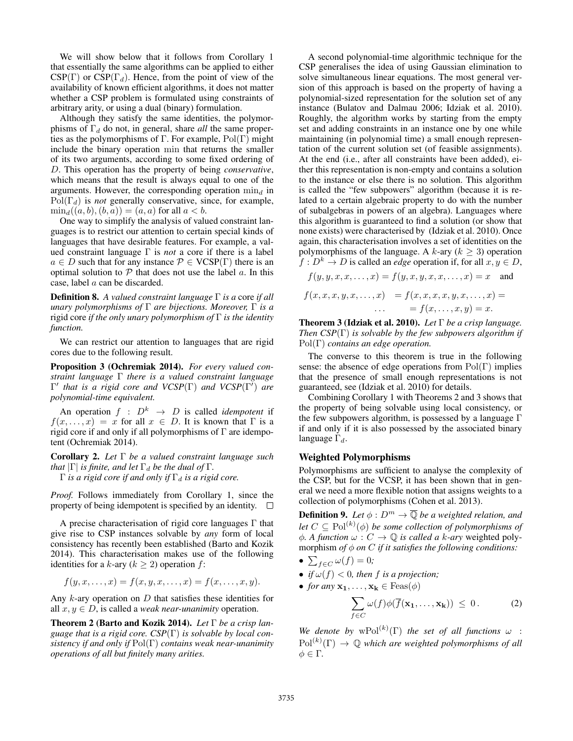We will show below that it follows from Corollary 1 that essentially the same algorithms can be applied to either  $CSP(\Gamma)$  or  $CSP(\Gamma_d)$ . Hence, from the point of view of the availability of known efficient algorithms, it does not matter whether a CSP problem is formulated using constraints of arbitrary arity, or using a dual (binary) formulation.

Although they satisfy the same identities, the polymorphisms of  $\Gamma_d$  do not, in general, share *all* the same properties as the polymorphisms of  $\Gamma$ . For example,  $Pol(\Gamma)$  might include the binary operation min that returns the smaller of its two arguments, according to some fixed ordering of D. This operation has the property of being *conservative*, which means that the result is always equal to one of the arguments. However, the corresponding operation  $\min_d$  in  $Pol(\Gamma_d)$  is *not* generally conservative, since, for example,  $\min_a((a, b), (b, a)) = (a, a)$  for all  $a < b$ .

One way to simplify the analysis of valued constraint languages is to restrict our attention to certain special kinds of languages that have desirable features. For example, a valued constraint language Γ is *not* a core if there is a label  $a \in D$  such that for any instance  $\mathcal{P} \in \text{VCSP}(\Gamma)$  there is an optimal solution to  $P$  that does not use the label  $a$ . In this case, label a can be discarded.

Definition 8. *A valued constraint language* Γ *is a* core *if all unary polymorphisms of* Γ *are bijections. Moreover,* Γ *is a* rigid core *if the only unary polymorphism of* Γ *is the identity function.*

We can restrict our attention to languages that are rigid cores due to the following result.

Proposition 3 (Ochremiak 2014). *For every valued constraint language* Γ *there is a valued constraint language Γ'* that is a rigid core and VCSP(Γ) and VCSP(Γ') are *polynomial-time equivalent.*

An operation  $f : D^k \rightarrow D$  is called *idempotent* if  $f(x, \ldots, x) = x$  for all  $x \in D$ . It is known that  $\Gamma$  is a rigid core if and only if all polymorphisms of  $\Gamma$  are idempotent (Ochremiak 2014).

Corollary 2. *Let* Γ *be a valued constraint language such that*  $|\Gamma|$  *is finite, and let*  $\Gamma_d$  *be the dual of*  $\Gamma$ *.* 

 $Γ$  *is a rigid core if and only if*  $Γ_d$  *is a rigid core.* 

*Proof.* Follows immediately from Corollary 1, since the property of being idempotent is specified by an identity.  $\square$ 

A precise characterisation of rigid core languages Γ that give rise to CSP instances solvable by *any* form of local consistency has recently been established (Barto and Kozik 2014). This characterisation makes use of the following identities for a k-ary ( $k \ge 2$ ) operation f:

$$
f(y,x,\ldots,x)=f(x,y,x,\ldots,x)=f(x,\ldots,x,y).
$$

Any  $k$ -ary operation on  $D$  that satisfies these identities for all  $x, y \in D$ , is called a *weak near-unanimity* operation.

Theorem 2 (Barto and Kozik 2014). *Let* Γ *be a crisp language that is a rigid core. CSP*(Γ) *is solvable by local consistency if and only if* Pol(Γ) *contains weak near-unanimity operations of all but finitely many arities.*

A second polynomial-time algorithmic technique for the CSP generalises the idea of using Gaussian elimination to solve simultaneous linear equations. The most general version of this approach is based on the property of having a polynomial-sized representation for the solution set of any instance (Bulatov and Dalmau 2006; Idziak et al. 2010). Roughly, the algorithm works by starting from the empty set and adding constraints in an instance one by one while maintaining (in polynomial time) a small enough representation of the current solution set (of feasible assignments). At the end (i.e., after all constraints have been added), either this representation is non-empty and contains a solution to the instance or else there is no solution. This algorithm is called the "few subpowers" algorithm (because it is related to a certain algebraic property to do with the number of subalgebras in powers of an algebra). Languages where this algorithm is guaranteed to find a solution (or show that none exists) were characterised by (Idziak et al. 2010). Once again, this characterisation involves a set of identities on the polymorphisms of the language. A k-ary  $(k > 3)$  operation  $f: D^k \to D$  is called an *edge* operation if, for all  $x, y \in D$ ,

$$
f(y, y, x, x, \dots, x) = f(y, x, y, x, x, \dots, x) = x
$$
 and  

$$
f(x, x, x, y, x, \dots, x) = f(x, x, x, y, x, \dots, x) =
$$

$$
\dots = f(x, \dots, x, y) = x.
$$

Theorem 3 (Idziak et al. 2010). *Let* Γ *be a crisp language. Then CSP*(Γ) *is solvable by the few subpowers algorithm if* Pol(Γ) *contains an edge operation.*

The converse to this theorem is true in the following sense: the absence of edge operations from  $Pol(\Gamma)$  implies that the presence of small enough representations is not guaranteed, see (Idziak et al. 2010) for details.

Combining Corollary 1 with Theorems 2 and 3 shows that the property of being solvable using local consistency, or the few subpowers algorithm, is possessed by a language Γ if and only if it is also possessed by the associated binary language  $\Gamma_d$ .

### Weighted Polymorphisms

Polymorphisms are sufficient to analyse the complexity of the CSP, but for the VCSP, it has been shown that in general we need a more flexible notion that assigns weights to a collection of polymorphisms (Cohen et al. 2013).

**Definition 9.** Let  $\phi: D^m \to \overline{Q}$  be a weighted relation, and let  $C \subseteq \mathrm{Pol}^{(k)}(\phi)$  be some collection of polymorphisms of  $\phi$ *. A function*  $\omega$  :  $C \rightarrow \mathbb{Q}$  *is called a k-ary* weighted polymorphism *of*  $\phi$  *on C if it satisfies the following conditions:* 

• 
$$
\sum_{f \in C} \omega(f) = 0;
$$

- *if*  $\omega(f) < 0$ *, then f is a projection*;
- *for any*  $\mathbf{x}_1, \ldots, \mathbf{x}_k \in \text{Feas}(\phi)$

$$
\sum_{f \in C} \omega(f) \phi(\overline{f}(\mathbf{x_1}, \dots, \mathbf{x_k})) \leq 0. \tag{2}
$$

We denote by  $wPol^{(k)}(\Gamma)$  the set of all functions  $\omega$  :  $Pol^{(k)}(\Gamma) \rightarrow \mathbb{Q}$  which are weighted polymorphisms of all  $\phi \in \Gamma$ .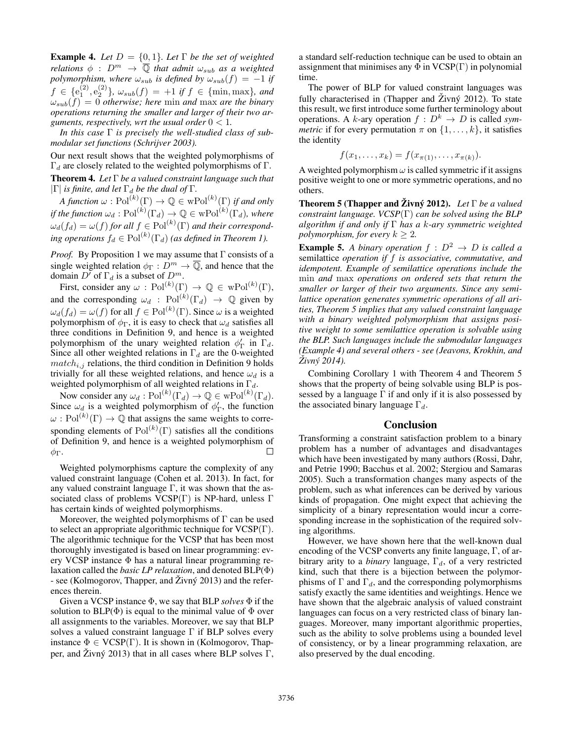**Example 4.** Let  $D = \{0, 1\}$ . Let  $\Gamma$  be the set of weighted *relations*  $\phi$  :  $D^m \rightarrow \overline{Q}$  *that admit*  $\omega_{sub}$  *as a weighted polymorphism, where*  $\omega_{sub}$  *is defined by*  $\omega_{sub}(f) = -1$  *if*  $f \in \{e_1^{(2)}, e_2^{(2)}\}, \ \omega_{sub}(f) = +1 \ \textit{if} \ f \in \{\text{min}, \text{max}\}, \ \textit{and}$  $\omega_{sub}(f) = 0$  *otherwise; here* min *and* max *are the binary operations returning the smaller and larger of their two arguments, respectively, wrt the usual order*  $0 < 1$ *.* 

*In this case* Γ *is precisely the well-studied class of submodular set functions (Schrijver 2003).*

Our next result shows that the weighted polymorphisms of  $Γ_d$  are closely related to the weighted polymorphisms of Γ. Theorem 4. *Let* Γ *be a valued constraint language such that*  $|\Gamma|$  *is finite, and let*  $\Gamma_d$  *be the dual of*  $\Gamma$ *.* 

*A function*  $\omega$ :  $Pol^{(k)}(\Gamma) \to \mathbb{Q} \in \text{wPol}^{(k)}(\Gamma)$  *if and only* if the function  $\omega_d : \mathrm{Pol}^{(k)}(\Gamma_d) \to \mathbb{Q} \in \mathrm{wPol}^{(k)}(\Gamma_d)$ , where  $\omega_d(f_d) = \omega(f)$  for all  $f \in Pol^{(k)}(\Gamma)$  and their correspond*ing operations*  $f_d \in Pol^{(k)}(\Gamma_d)$  *(as defined in Theorem 1).* 

*Proof.* By Proposition 1 we may assume that Γ consists of a single weighted relation  $\phi_{\Gamma}: D^m \to \overline{\mathbb{Q}}$ , and hence that the domain  $D^{\prime}$  of  $\Gamma_d$  is a subset of  $D^m$ .

First, consider any  $\omega$ :  $Pol^{(k)}(\Gamma) \rightarrow \mathbb{Q} \in \text{wPol}^{(k)}(\Gamma)$ , and the corresponding  $\omega_d$ :  $Pol^{(k)}(\Gamma_d) \rightarrow \mathbb{Q}$  given by  $\omega_d(f_d) = \omega(f)$  for all  $f \in \text{Pol}^{(k)}(\Gamma)$ . Since  $\omega$  is a weighted polymorphism of  $\phi_{\Gamma}$ , it is easy to check that  $\omega_d$  satisfies all three conditions in Definition 9, and hence is a weighted polymorphism of the unary weighted relation  $\phi'_{\Gamma}$  in  $\Gamma_d$ . Since all other weighted relations in  $\Gamma_d$  are the 0-weighted  $match_{i,j}$  relations, the third condition in Definition 9 holds trivially for all these weighted relations, and hence  $\omega_d$  is a weighted polymorphism of all weighted relations in  $\Gamma_d$ .

Now consider any  $\omega_d : \mathrm{Pol}^{(k)}(\Gamma_d) \to \mathbb{Q} \in \mathrm{wPol}^{(k)}(\Gamma_d)$ . Since  $\omega_d$  is a weighted polymorphism of  $\phi'_\Gamma$ , the function  $\omega$ : Pol<sup>(k)</sup>(Γ)  $\rightarrow$  Q that assigns the same weights to corresponding elements of  $Pol^{(k)}(\Gamma)$  satisfies all the conditions of Definition 9, and hence is a weighted polymorphism of  $\Box$  $φ_Γ$ .

Weighted polymorphisms capture the complexity of any valued constraint language (Cohen et al. 2013). In fact, for any valued constraint language  $\Gamma$ , it was shown that the associated class of problems  $VCSP(\Gamma)$  is NP-hard, unless  $\Gamma$ has certain kinds of weighted polymorphisms.

Moreover, the weighted polymorphisms of  $\Gamma$  can be used to select an appropriate algorithmic technique for  $VCSP(\Gamma)$ . The algorithmic technique for the VCSP that has been most thoroughly investigated is based on linear programming: every VCSP instance Φ has a natural linear programming relaxation called the *basic LP relaxation*, and denoted BLP(Φ) - see (Kolmogorov, Thapper, and  $\check{Z}$ ivný 2013) and the references therein.

Given a VCSP instance Φ, we say that BLP *solves* Φ if the solution to  $BLP(\Phi)$  is equal to the minimal value of  $\Phi$  over all assignments to the variables. Moreover, we say that BLP solves a valued constraint language  $\Gamma$  if BLP solves every instance  $\Phi \in \text{VCSP}(\Gamma)$ . It is shown in (Kolmogorov, Thapper, and Živný 2013) that in all cases where BLP solves  $\Gamma$ ,

a standard self-reduction technique can be used to obtain an assignment that minimises any  $\Phi$  in VCSP(Γ) in polynomial time.

The power of BLP for valued constraint languages was fully characterised in (Thapper and  $\tilde{Z}$ ivn $\acute{y}$  2012). To state this result, we first introduce some further terminology about operations. A k-ary operation  $f : D^k \to D$  is called *symmetric* if for every permutation  $\pi$  on  $\{1, \ldots, k\}$ , it satisfies the identity

$$
f(x_1, ..., x_k) = f(x_{\pi(1)}, ..., x_{\pi(k)}).
$$

A weighted polymorphism  $\omega$  is called symmetric if it assigns positive weight to one or more symmetric operations, and no others.

**Theorem 5 (Thapper and Živný 2012).** Let  $\Gamma$  be a valued *constraint language. VCSP*(Γ) *can be solved using the BLP algorithm if and only if* Γ *has a* k*-ary symmetric weighted polymorphism, for every*  $k > 2$ .

**Example 5.** A binary operation  $f : D^2 \rightarrow D$  is called a semilattice *operation if* f *is associative, commutative, and idempotent. Example of semilattice operations include the* min *and* max *operations on ordered sets that return the smaller or larger of their two arguments. Since any semilattice operation generates symmetric operations of all arities, Theorem 5 implies that any valued constraint language with a binary weighted polymorphism that assigns positive weight to some semilattice operation is solvable using the BLP. Such languages include the submodular languages (Example 4) and several others - see (Jeavons, Krokhin, and Zivn ˇ y 2014). ´*

Combining Corollary 1 with Theorem 4 and Theorem 5 shows that the property of being solvable using BLP is possessed by a language  $\Gamma$  if and only if it is also possessed by the associated binary language  $\Gamma_d$ .

### Conclusion

Transforming a constraint satisfaction problem to a binary problem has a number of advantages and disadvantages which have been investigated by many authors (Rossi, Dahr, and Petrie 1990; Bacchus et al. 2002; Stergiou and Samaras 2005). Such a transformation changes many aspects of the problem, such as what inferences can be derived by various kinds of propagation. One might expect that achieving the simplicity of a binary representation would incur a corresponding increase in the sophistication of the required solving algorithms.

However, we have shown here that the well-known dual encoding of the VCSP converts any finite language, Γ, of arbitrary arity to a *binary* language,  $\Gamma_d$ , of a very restricted kind, such that there is a bijection between the polymorphisms of  $\Gamma$  and  $\Gamma_d$ , and the corresponding polymorphisms satisfy exactly the same identities and weightings. Hence we have shown that the algebraic analysis of valued constraint languages can focus on a very restricted class of binary languages. Moreover, many important algorithmic properties, such as the ability to solve problems using a bounded level of consistency, or by a linear programming relaxation, are also preserved by the dual encoding.